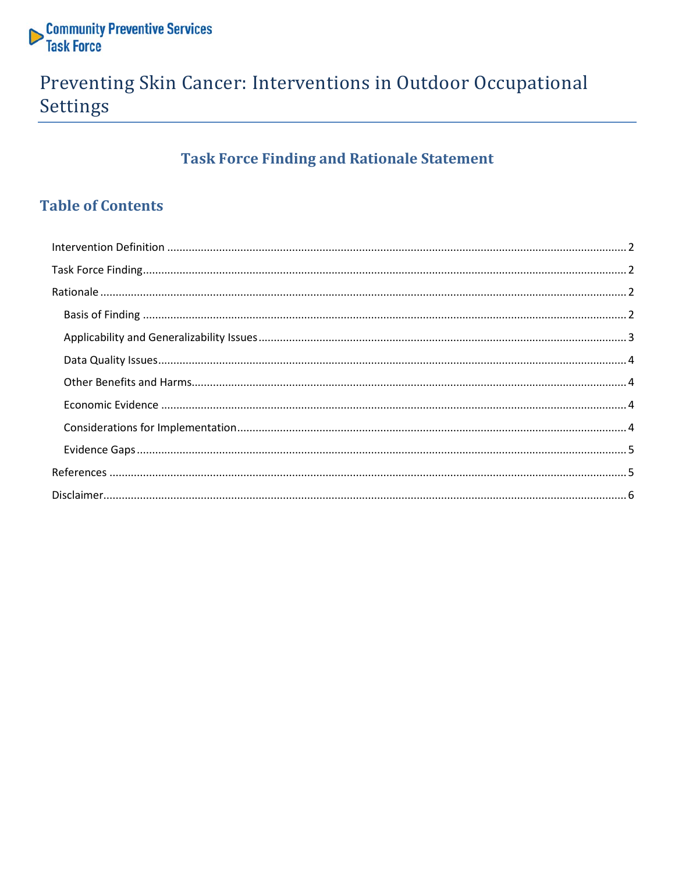

## Preventing Skin Cancer: Interventions in Outdoor Occupational Settings

## **Task Force Finding and Rationale Statement**

### **Table of Contents**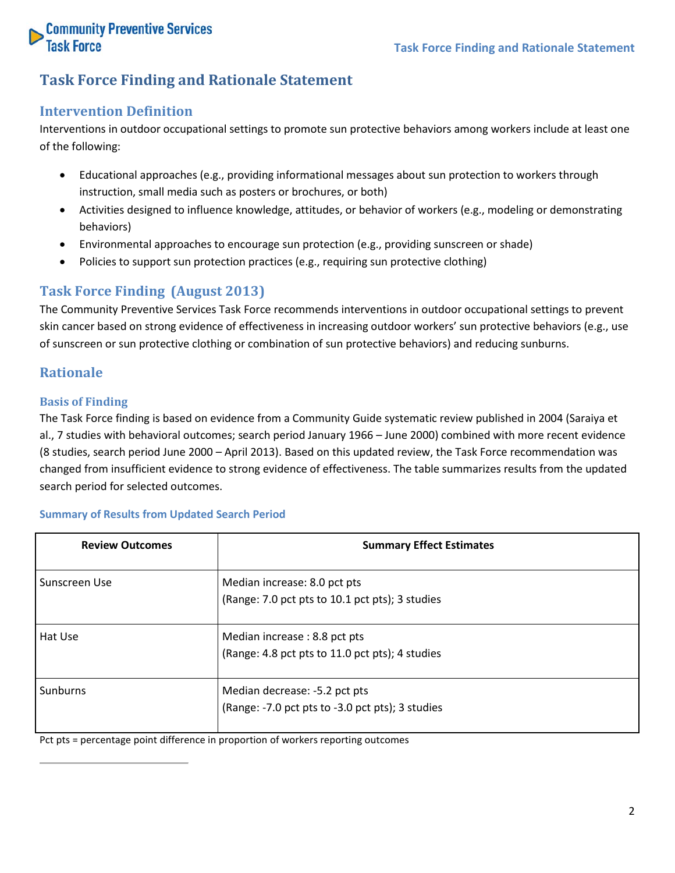



### **Task Force Finding and Rationale Statement**

### <span id="page-1-0"></span>**Intervention Definition**

Interventions in outdoor occupational settings to promote sun protective behaviors among workers include at least one of the following:

- Educational approaches (e.g., providing informational messages about sun protection to workers through instruction, small media such as posters or brochures, or both)
- Activities designed to influence knowledge, attitudes, or behavior of workers (e.g., modeling or demonstrating behaviors)
- Environmental approaches to encourage sun protection (e.g., providing sunscreen or shade)
- Policies to support sun protection practices (e.g., requiring sun protective clothing)

### <span id="page-1-1"></span>**Task Force Finding (August 2013)**

The Community Preventive Services Task Force recommends interventions in outdoor occupational settings to prevent skin cancer based on strong evidence of effectiveness in increasing outdoor workers' sun protective behaviors (e.g., use of sunscreen or sun protective clothing or combination of sun protective behaviors) and reducing sunburns.

### <span id="page-1-2"></span>**Rationale**

### <span id="page-1-3"></span>**Basis of Finding**

The Task Force finding is based on evidence from a Community Guide systematic review published in 2004 (Saraiya et al., 7 studies with behavioral outcomes; search period January 1966 – June 2000) combined with more recent evidence (8 studies, search period June 2000 – April 2013). Based on this updated review, the Task Force recommendation was changed from insufficient evidence to strong evidence of effectiveness. The table summarizes results from the updated search period for selected outcomes.

### **Summary of Results from Updated Search Period**

| <b>Review Outcomes</b> | <b>Summary Effect Estimates</b>                                                   |
|------------------------|-----------------------------------------------------------------------------------|
| Sunscreen Use          | Median increase: 8.0 pct pts<br>(Range: 7.0 pct pts to 10.1 pct pts); 3 studies   |
| Hat Use                | Median increase: 8.8 pct pts<br>(Range: 4.8 pct pts to 11.0 pct pts); 4 studies   |
| <b>Sunburns</b>        | Median decrease: -5.2 pct pts<br>(Range: -7.0 pct pts to -3.0 pct pts); 3 studies |

Pct pts = percentage point difference in proportion of workers reporting outcomes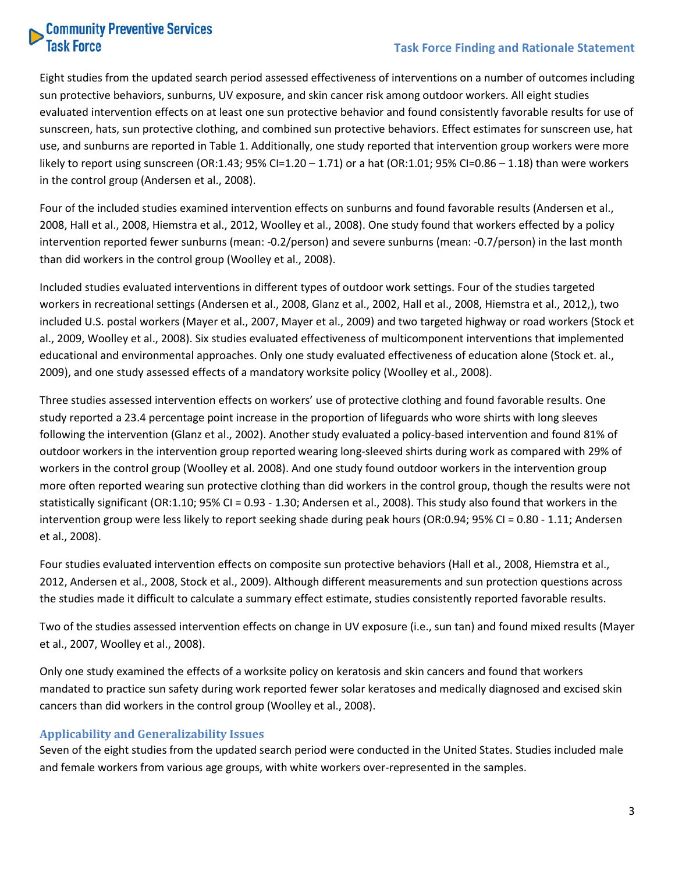# Community Preventive Services<br>Task Force

### **Task Force Finding and Rationale Statement**

Eight studies from the updated search period assessed effectiveness of interventions on a number of outcomes including sun protective behaviors, sunburns, UV exposure, and skin cancer risk among outdoor workers. All eight studies evaluated intervention effects on at least one sun protective behavior and found consistently favorable results for use of sunscreen, hats, sun protective clothing, and combined sun protective behaviors. Effect estimates for sunscreen use, hat use, and sunburns are reported in Table 1. Additionally, one study reported that intervention group workers were more likely to report using sunscreen (OR:1.43; 95% CI=1.20 – 1.71) or a hat (OR:1.01; 95% CI=0.86 – 1.18) than were workers in the control group (Andersen et al., 2008).

Four of the included studies examined intervention effects on sunburns and found favorable results (Andersen et al., 2008, Hall et al., 2008, Hiemstra et al., 2012, Woolley et al., 2008). One study found that workers effected by a policy intervention reported fewer sunburns (mean: -0.2/person) and severe sunburns (mean: -0.7/person) in the last month than did workers in the control group (Woolley et al., 2008).

Included studies evaluated interventions in different types of outdoor work settings. Four of the studies targeted workers in recreational settings (Andersen et al., 2008, Glanz et al., 2002, Hall et al., 2008, Hiemstra et al., 2012,), two included U.S. postal workers (Mayer et al., 2007, Mayer et al., 2009) and two targeted highway or road workers (Stock et al., 2009, Woolley et al., 2008). Six studies evaluated effectiveness of multicomponent interventions that implemented educational and environmental approaches. Only one study evaluated effectiveness of education alone (Stock et. al., 2009), and one study assessed effects of a mandatory worksite policy (Woolley et al., 2008).

Three studies assessed intervention effects on workers' use of protective clothing and found favorable results. One study reported a 23.4 percentage point increase in the proportion of lifeguards who wore shirts with long sleeves following the intervention (Glanz et al., 2002). Another study evaluated a policy-based intervention and found 81% of outdoor workers in the intervention group reported wearing long-sleeved shirts during work as compared with 29% of workers in the control group (Woolley et al. 2008). And one study found outdoor workers in the intervention group more often reported wearing sun protective clothing than did workers in the control group, though the results were not statistically significant (OR:1.10; 95% CI = 0.93 - 1.30; Andersen et al., 2008). This study also found that workers in the intervention group were less likely to report seeking shade during peak hours (OR:0.94; 95% CI = 0.80 - 1.11; Andersen et al., 2008).

Four studies evaluated intervention effects on composite sun protective behaviors (Hall et al., 2008, Hiemstra et al., 2012, Andersen et al., 2008, Stock et al., 2009). Although different measurements and sun protection questions across the studies made it difficult to calculate a summary effect estimate, studies consistently reported favorable results.

Two of the studies assessed intervention effects on change in UV exposure (i.e., sun tan) and found mixed results (Mayer et al., 2007, Woolley et al., 2008).

Only one study examined the effects of a worksite policy on keratosis and skin cancers and found that workers mandated to practice sun safety during work reported fewer solar keratoses and medically diagnosed and excised skin cancers than did workers in the control group (Woolley et al., 2008).

### <span id="page-2-0"></span>**Applicability and Generalizability Issues**

Seven of the eight studies from the updated search period were conducted in the United States. Studies included male and female workers from various age groups, with white workers over-represented in the samples.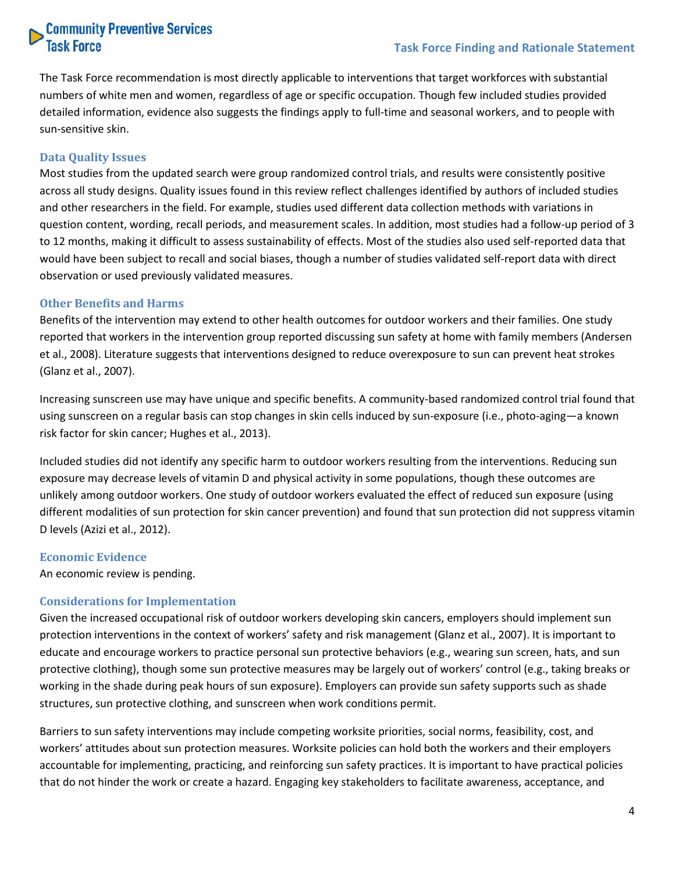# **Community Preventive Services**<br>Task Force

### **Task Force Finding and Rationale Statement**

The Task Force recommendation is most directly applicable to interventions that target workforces with substantial numbers of white men and women, regardless of age or specific occupation. Though few included studies provided detailed information, evidence also suggests the findings apply to full-time and seasonal workers, and to people with sun-sensitive skin.

### <span id="page-3-0"></span>**Data Quality Issues**

Most studies from the updated search were group randomized control trials, and results were consistently positive across all study designs. Quality issues found in this review reflect challenges identified by authors of included studies and other researchers in the field. For example, studies used different data collection methods with variations in question content, wording, recall periods, and measurement scales. In addition, most studies had a follow-up period of 3 to 12 months, making it difficult to assess sustainability of effects. Most of the studies also used self-reported data that would have been subject to recall and social biases, though a number of studies validated self-report data with direct observation or used previously validated measures.

### <span id="page-3-1"></span>**Other Benefits and Harms**

Benefits of the intervention may extend to other health outcomes for outdoor workers and their families. One study reported that workers in the intervention group reported discussing sun safety at home with family members (Andersen et al., 2008). Literature suggests that interventions designed to reduce overexposure to sun can prevent heat strokes (Glanz et al., 2007).

Increasing sunscreen use may have unique and specific benefits. A community-based randomized control trial found that using sunscreen on a regular basis can stop changes in skin cells induced by sun-exposure (i.e., photo-aging—a known risk factor for skin cancer; Hughes et al., 2013).

Included studies did not identify any specific harm to outdoor workers resulting from the interventions. Reducing sun exposure may decrease levels of vitamin D and physical activity in some populations, though these outcomes are unlikely among outdoor workers. One study of outdoor workers evaluated the effect of reduced sun exposure (using different modalities of sun protection for skin cancer prevention) and found that sun protection did not suppress vitamin D levels (Azizi et al., 2012).

### <span id="page-3-2"></span>**Economic Evidence**

An economic review is pending.

### <span id="page-3-3"></span>**Considerations for Implementation**

Given the increased occupational risk of outdoor workers developing skin cancers, employers should implement sun protection interventions in the context of workers' safety and risk management (Glanz et al., 2007). It is important to educate and encourage workers to practice personal sun protective behaviors (e.g., wearing sun screen, hats, and sun protective clothing), though some sun protective measures may be largely out of workers' control (e.g., taking breaks or working in the shade during peak hours of sun exposure). Employers can provide sun safety supports such as shade structures, sun protective clothing, and sunscreen when work conditions permit.

Barriers to sun safety interventions may include competing worksite priorities, social norms, feasibility, cost, and workers' attitudes about sun protection measures. Worksite policies can hold both the workers and their employers accountable for implementing, practicing, and reinforcing sun safety practices. It is important to have practical policies that do not hinder the work or create a hazard. Engaging key stakeholders to facilitate awareness, acceptance, and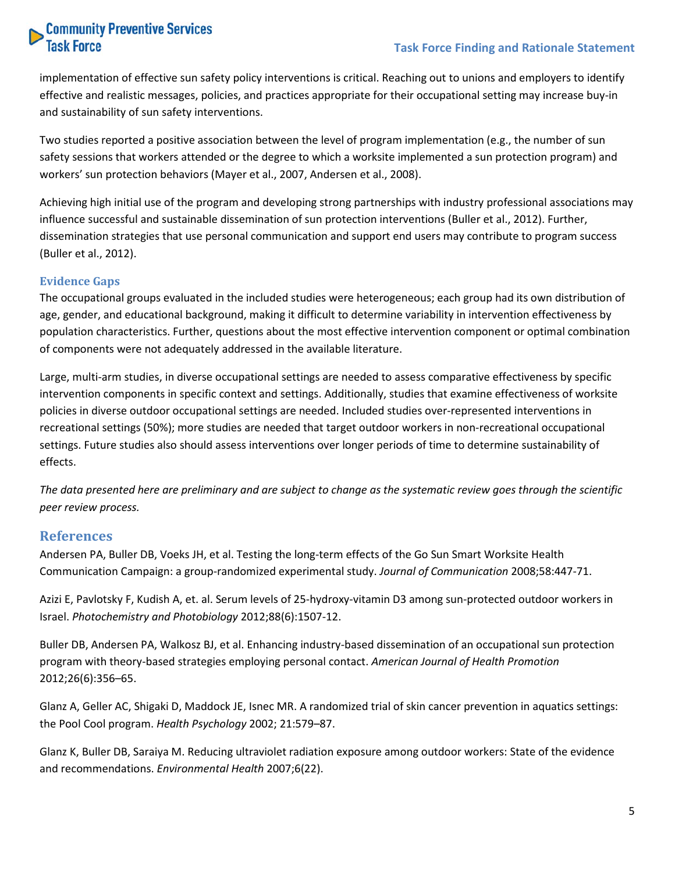## **Community Preventive Services**<br>Task Force

implementation of effective sun safety policy interventions is critical. Reaching out to unions and employers to identify effective and realistic messages, policies, and practices appropriate for their occupational setting may increase buy-in and sustainability of sun safety interventions.

Two studies reported a positive association between the level of program implementation (e.g., the number of sun safety sessions that workers attended or the degree to which a worksite implemented a sun protection program) and workers' sun protection behaviors (Mayer et al., 2007, Andersen et al., 2008).

Achieving high initial use of the program and developing strong partnerships with industry professional associations may influence successful and sustainable dissemination of sun protection interventions (Buller et al., 2012). Further, dissemination strategies that use personal communication and support end users may contribute to program success (Buller et al., 2012).

### <span id="page-4-0"></span>**Evidence Gaps**

The occupational groups evaluated in the included studies were heterogeneous; each group had its own distribution of age, gender, and educational background, making it difficult to determine variability in intervention effectiveness by population characteristics. Further, questions about the most effective intervention component or optimal combination of components were not adequately addressed in the available literature.

Large, multi-arm studies, in diverse occupational settings are needed to assess comparative effectiveness by specific intervention components in specific context and settings. Additionally, studies that examine effectiveness of worksite policies in diverse outdoor occupational settings are needed. Included studies over-represented interventions in recreational settings (50%); more studies are needed that target outdoor workers in non-recreational occupational settings. Future studies also should assess interventions over longer periods of time to determine sustainability of effects.

*The data presented here are preliminary and are subject to change as the systematic review goes through the scientific peer review process.*

### <span id="page-4-1"></span>**References**

Andersen PA, Buller DB, Voeks JH, et al. Testing the long-term effects of the Go Sun Smart Worksite Health Communication Campaign: a group-randomized experimental study. *Journal of Communication* 2008;58:447-71.

Azizi E, Pavlotsky F, Kudish A, et. al. Serum levels of 25-hydroxy-vitamin D3 among sun-protected outdoor workers in Israel. *Photochemistry and Photobiology* 2012;88(6):1507-12.

Buller DB, Andersen PA, Walkosz BJ, et al. Enhancing industry-based dissemination of an occupational sun protection program with theory-based strategies employing personal contact. *American Journal of Health Promotion* 2012;26(6):356–65.

Glanz A, Geller AC, Shigaki D, Maddock JE, Isnec MR. A randomized trial of skin cancer prevention in aquatics settings: the Pool Cool program. *Health Psychology* 2002; 21:579–87.

Glanz K, Buller DB, Saraiya M. Reducing ultraviolet radiation exposure among outdoor workers: State of the evidence and recommendations. *Environmental Health* 2007;6(22).